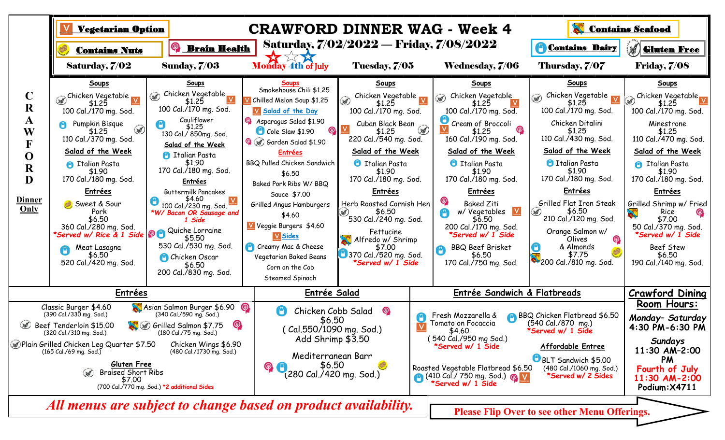